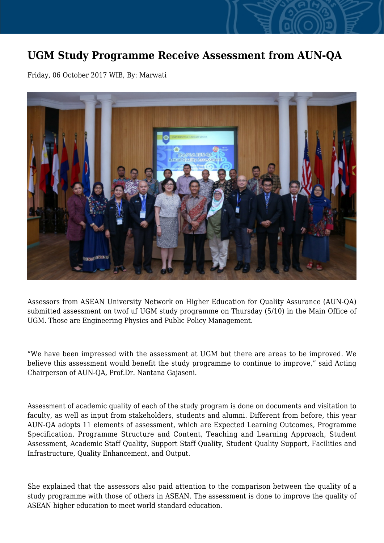## **UGM Study Programme Receive Assessment from AUN-QA**

Friday, 06 October 2017 WIB, By: Marwati



Assessors from ASEAN University Network on Higher Education for Quality Assurance (AUN-QA) submitted assessment on twof uf UGM study programme on Thursday (5/10) in the Main Office of UGM. Those are Engineering Physics and Public Policy Management.

"We have been impressed with the assessment at UGM but there are areas to be improved. We believe this assessment would benefit the study programme to continue to improve," said Acting Chairperson of AUN-QA, Prof.Dr. Nantana Gajaseni.

Assessment of academic quality of each of the study program is done on documents and visitation to faculty, as well as input from stakeholders, students and alumni. Different from before, this year AUN-QA adopts 11 elements of assessment, which are Expected Learning Outcomes, Programme Specification, Programme Structure and Content, Teaching and Learning Approach, Student Assessment, Academic Staff Quality, Support Staff Quality, Student Quality Support, Facilities and Infrastructure, Quality Enhancement, and Output.

She explained that the assessors also paid attention to the comparison between the quality of a study programme with those of others in ASEAN. The assessment is done to improve the quality of ASEAN higher education to meet world standard education.